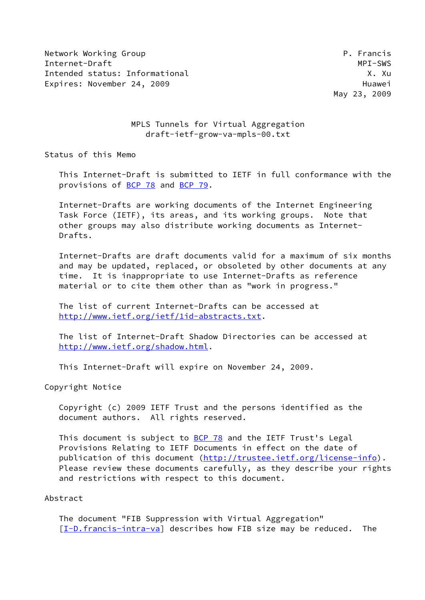Network Working Group **P. Francis** Internet-Draft MPI-SWS Intended status: Informational X. Xu Expires: November 24, 2009 **Huawei** 

May 23, 2009

## MPLS Tunnels for Virtual Aggregation draft-ietf-grow-va-mpls-00.txt

Status of this Memo

 This Internet-Draft is submitted to IETF in full conformance with the provisions of [BCP 78](https://datatracker.ietf.org/doc/pdf/bcp78) and [BCP 79](https://datatracker.ietf.org/doc/pdf/bcp79).

 Internet-Drafts are working documents of the Internet Engineering Task Force (IETF), its areas, and its working groups. Note that other groups may also distribute working documents as Internet- Drafts.

 Internet-Drafts are draft documents valid for a maximum of six months and may be updated, replaced, or obsoleted by other documents at any time. It is inappropriate to use Internet-Drafts as reference material or to cite them other than as "work in progress."

 The list of current Internet-Drafts can be accessed at <http://www.ietf.org/ietf/1id-abstracts.txt>.

 The list of Internet-Draft Shadow Directories can be accessed at <http://www.ietf.org/shadow.html>.

This Internet-Draft will expire on November 24, 2009.

Copyright Notice

 Copyright (c) 2009 IETF Trust and the persons identified as the document authors. All rights reserved.

 This document is subject to [BCP 78](https://datatracker.ietf.org/doc/pdf/bcp78) and the IETF Trust's Legal Provisions Relating to IETF Documents in effect on the date of publication of this document [\(http://trustee.ietf.org/license-info](http://trustee.ietf.org/license-info)). Please review these documents carefully, as they describe your rights and restrictions with respect to this document.

### Abstract

 The document "FIB Suppression with Virtual Aggregation"  $[I-D.f {\text{r} }arccos-intra \text{-}va]$  describes how FIB size may be reduced. The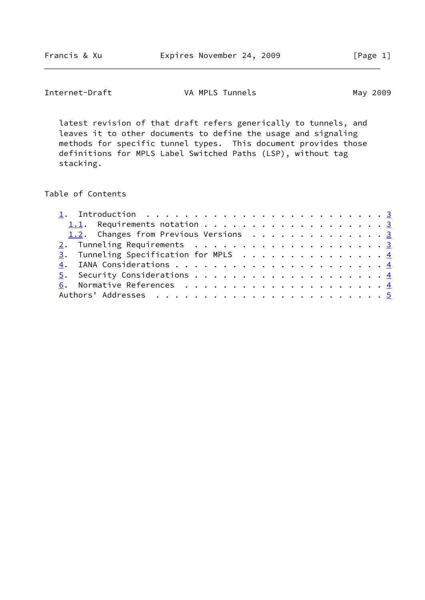# Internet-Draft **VA MPLS Tunnels** May 2009

 latest revision of that draft refers generically to tunnels, and leaves it to other documents to define the usage and signaling methods for specific tunnel types. This document provides those definitions for MPLS Label Switched Paths (LSP), without tag stacking.

## Table of Contents

| 1. Introduction $\ldots \ldots \ldots \ldots \ldots \ldots \ldots \ldots \ldots \ldots$ |
|-----------------------------------------------------------------------------------------|
|                                                                                         |
| 1.2. Changes from Previous Versions 3                                                   |
|                                                                                         |
| $\underline{3}$ . Tunneling Specification for MPLS 4                                    |
|                                                                                         |
|                                                                                         |
|                                                                                         |
|                                                                                         |
|                                                                                         |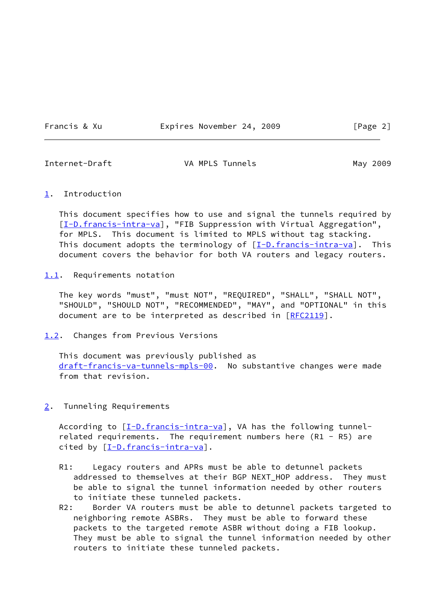Francis & Xu **Expires November 24, 2009** [Page 2]

<span id="page-2-1"></span>

Internet-Draft **VA MPLS Tunnels** May 2009

#### <span id="page-2-0"></span>[1](#page-2-0). Introduction

 This document specifies how to use and signal the tunnels required by [\[I-D.francis-intra-va](#page-4-0)], "FIB Suppression with Virtual Aggregation", for MPLS. This document is limited to MPLS without tag stacking. This document adopts the terminology of  $[I-D.francis-intra-va]$  $[I-D.francis-intra-va]$ . This document covers the behavior for both VA routers and legacy routers.

<span id="page-2-2"></span>[1.1](#page-2-2). Requirements notation

 The key words "must", "must NOT", "REQUIRED", "SHALL", "SHALL NOT", "SHOULD", "SHOULD NOT", "RECOMMENDED", "MAY", and "OPTIONAL" in this document are to be interpreted as described in [\[RFC2119](https://datatracker.ietf.org/doc/pdf/rfc2119)].

<span id="page-2-3"></span>[1.2](#page-2-3). Changes from Previous Versions

 This document was previously published as [draft-francis-va-tunnels-mpls-00](https://datatracker.ietf.org/doc/pdf/draft-francis-va-tunnels-mpls-00). No substantive changes were made from that revision.

<span id="page-2-4"></span>[2](#page-2-4). Tunneling Requirements

According to  $[\underline{I-D.francis-intra-va}]$ , VA has the following tunnelrelated requirements. The requirement numbers here  $(R1 - R5)$  are cited by  $[I-D.francis-intra-va]$  $[I-D.francis-intra-va]$ .

- R1: Legacy routers and APRs must be able to detunnel packets addressed to themselves at their BGP NEXT\_HOP address. They must be able to signal the tunnel information needed by other routers to initiate these tunneled packets.
- R2: Border VA routers must be able to detunnel packets targeted to neighboring remote ASBRs. They must be able to forward these packets to the targeted remote ASBR without doing a FIB lookup. They must be able to signal the tunnel information needed by other routers to initiate these tunneled packets.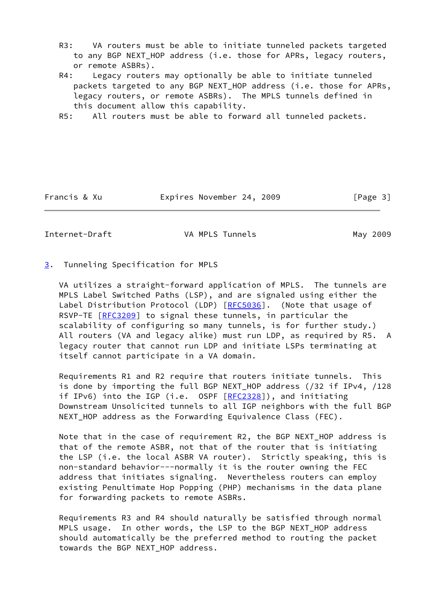- R3: VA routers must be able to initiate tunneled packets targeted to any BGP NEXT\_HOP address (i.e. those for APRs, legacy routers, or remote ASBRs).
- R4: Legacy routers may optionally be able to initiate tunneled packets targeted to any BGP NEXT\_HOP address (i.e. those for APRs, legacy routers, or remote ASBRs). The MPLS tunnels defined in this document allow this capability.
- R5: All routers must be able to forward all tunneled packets.

Francis & Xu **Expires November 24, 2009** [Page 3]

<span id="page-3-1"></span>Internet-Draft VA MPLS Tunnels May 2009

<span id="page-3-0"></span>[3](#page-3-0). Tunneling Specification for MPLS

 VA utilizes a straight-forward application of MPLS. The tunnels are MPLS Label Switched Paths (LSP), and are signaled using either the Label Distribution Protocol (LDP) [[RFC5036](https://datatracker.ietf.org/doc/pdf/rfc5036)]. (Note that usage of RSVP-TE [\[RFC3209](https://datatracker.ietf.org/doc/pdf/rfc3209)] to signal these tunnels, in particular the scalability of configuring so many tunnels, is for further study.) All routers (VA and legacy alike) must run LDP, as required by R5. A legacy router that cannot run LDP and initiate LSPs terminating at itself cannot participate in a VA domain.

 Requirements R1 and R2 require that routers initiate tunnels. This is done by importing the full BGP NEXT\_HOP address (/32 if IPv4, /128 if IPv6) into the IGP (i.e. OSPF [[RFC2328](https://datatracker.ietf.org/doc/pdf/rfc2328)]), and initiating Downstream Unsolicited tunnels to all IGP neighbors with the full BGP NEXT\_HOP address as the Forwarding Equivalence Class (FEC).

 Note that in the case of requirement R2, the BGP NEXT\_HOP address is that of the remote ASBR, not that of the router that is initiating the LSP (i.e. the local ASBR VA router). Strictly speaking, this is non-standard behavior---normally it is the router owning the FEC address that initiates signaling. Nevertheless routers can employ existing Penultimate Hop Popping (PHP) mechanisms in the data plane for forwarding packets to remote ASBRs.

 Requirements R3 and R4 should naturally be satisfied through normal MPLS usage. In other words, the LSP to the BGP NEXT\_HOP address should automatically be the preferred method to routing the packet towards the BGP NEXT\_HOP address.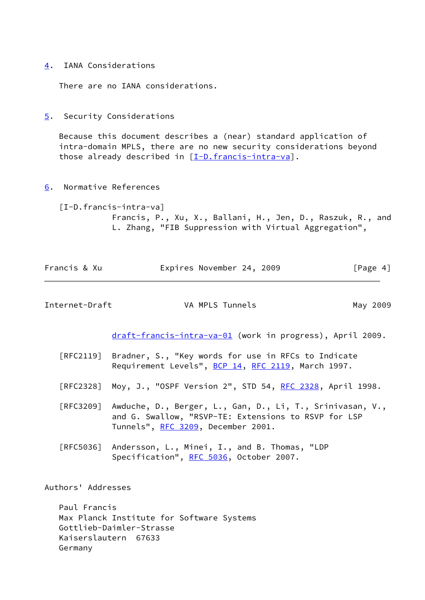<span id="page-4-1"></span>[4](#page-4-1). IANA Considerations

There are no IANA considerations.

<span id="page-4-2"></span>[5](#page-4-2). Security Considerations

 Because this document describes a (near) standard application of intra-domain MPLS, there are no new security considerations beyond those already described in  $[I-D.francis-intra-va]$  $[I-D.francis-intra-va]$ .

<span id="page-4-3"></span>[6](#page-4-3). Normative References

<span id="page-4-0"></span> [I-D.francis-intra-va] Francis, P., Xu, X., Ballani, H., Jen, D., Raszuk, R., and L. Zhang, "FIB Suppression with Virtual Aggregation",

| Francis & Xu |  | Expires November 24, 2009 |  | [Page 4] |
|--------------|--|---------------------------|--|----------|
|--------------|--|---------------------------|--|----------|

<span id="page-4-4"></span>Internet-Draft **VA MPLS Tunnels** May 2009

[draft-francis-intra-va-01](https://datatracker.ietf.org/doc/pdf/draft-francis-intra-va-01) (work in progress), April 2009.

- [RFC2119] Bradner, S., "Key words for use in RFCs to Indicate Requirement Levels", [BCP 14](https://datatracker.ietf.org/doc/pdf/bcp14), [RFC 2119](https://datatracker.ietf.org/doc/pdf/rfc2119), March 1997.
- [RFC2328] Moy, J., "OSPF Version 2", STD 54, [RFC 2328](https://datatracker.ietf.org/doc/pdf/rfc2328), April 1998.
- [RFC3209] Awduche, D., Berger, L., Gan, D., Li, T., Srinivasan, V., and G. Swallow, "RSVP-TE: Extensions to RSVP for LSP Tunnels", [RFC 3209](https://datatracker.ietf.org/doc/pdf/rfc3209), December 2001.
- [RFC5036] Andersson, L., Minei, I., and B. Thomas, "LDP Specification", [RFC 5036,](https://datatracker.ietf.org/doc/pdf/rfc5036) October 2007.

Authors' Addresses

 Paul Francis Max Planck Institute for Software Systems Gottlieb-Daimler-Strasse Kaiserslautern 67633 Germany